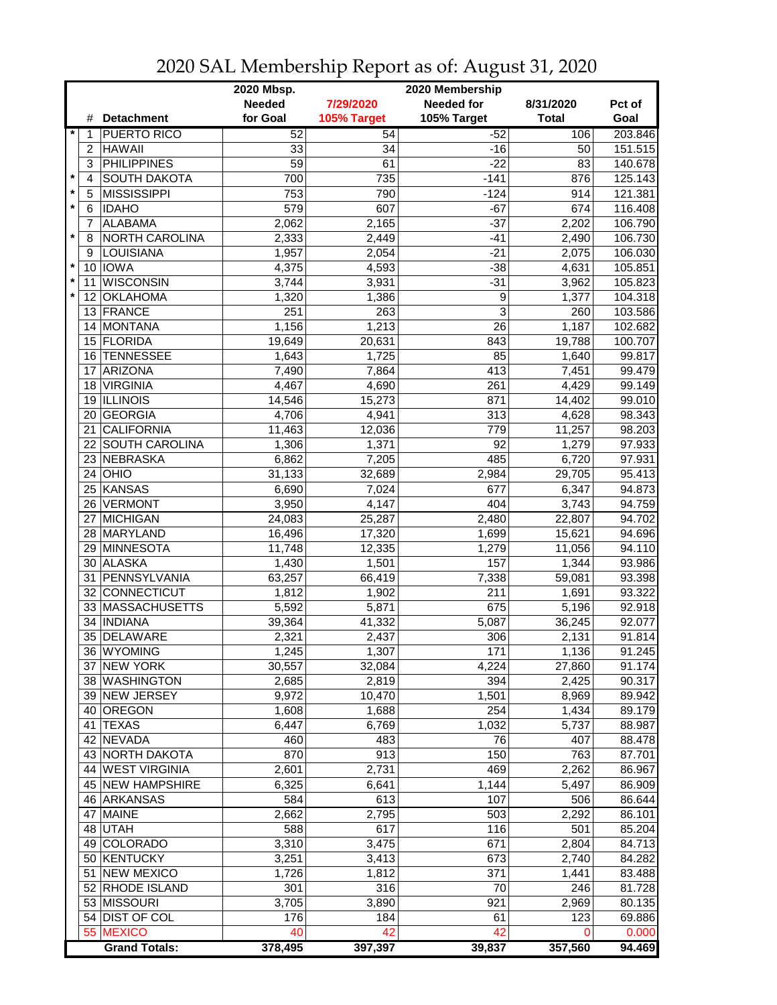|                       |                         | 2020 Mbsp.<br>2020 Membership |             |                   |              |         |  |
|-----------------------|-------------------------|-------------------------------|-------------|-------------------|--------------|---------|--|
|                       |                         | <b>Needed</b>                 | 7/29/2020   | <b>Needed for</b> | 8/31/2020    | Pct of  |  |
|                       | <b>Detachment</b><br>#  | for Goal                      | 105% Target | 105% Target       | <b>Total</b> | Goal    |  |
| $\star$<br>$\ddot{1}$ | <b>PUERTO RICO</b>      | 52                            | 54          | $-52$             | 106          | 203.846 |  |
| 2                     | <b>HAWAII</b>           | 33                            | 34          | $-16$             | 50           | 151.515 |  |
| 3                     | <b>PHILIPPINES</b>      | $\overline{59}$               | 61          | $-22$             | 83           | 140.678 |  |
| $\star$<br>4          | <b>SOUTH DAKOTA</b>     | 700                           | 735         | $-141$            | 876          | 125.143 |  |
| $\star$<br>5          | <b>MISSISSIPPI</b>      | 753                           | 790         | $-124$            | 914          | 121.381 |  |
| $\star$<br>6          | <b>IDAHO</b>            | 579                           | 607         | $-67$             | 674          | 116.408 |  |
| 7                     | <b>ALABAMA</b>          | 2,062                         | 2,165       | $-37$             | 2,202        | 106.790 |  |
| $\star$<br>8          | NORTH CAROLINA          | 2,333                         | 2,449       | $-41$             | 2,490        | 106.730 |  |
| 9                     | <b>LOUISIANA</b>        | 1,957                         | 2,054       | $-21$             | 2,075        | 106.030 |  |
| $\star$<br>10         | <b>IOWA</b>             | 4,375                         | 4,593       | $-38$             | 4,631        | 105.851 |  |
| $\star$<br>11         | <b>WISCONSIN</b>        | 3,744                         | 3,931       | $-31$             | 3,962        | 105.823 |  |
| $\star$<br>12         | <b>OKLAHOMA</b>         | 1,320                         | 1,386       | 9                 | 1,377        | 104.318 |  |
|                       | 13 FRANCE               | 251                           | 263         | 3                 | 260          | 103.586 |  |
|                       | MONTANA<br>14           | 1,156                         | 1,213       | 26                | 1,187        | 102.682 |  |
| 15                    | FLORIDA                 | 19,649                        | 20,631      | 843               | 19,788       | 100.707 |  |
|                       | 16 TENNESSEE            | 1,643                         | 1,725       | 85                | 1,640        | 99.817  |  |
| 17                    | <b>ARIZONA</b>          | 7,490                         | 7,864       | 413               | 7,451        | 99.479  |  |
| 18                    | <b>VIRGINIA</b>         | 4,467                         | 4,690       | 261               | 4,429        | 99.149  |  |
|                       | <b>ILLINOIS</b><br>19   | 14,546                        | 15,273      | 871               | 14,402       | 99.010  |  |
| 20                    | <b>GEORGIA</b>          | 4,706                         | 4,941       | 313               | 4,628        | 98.343  |  |
| 21                    | <b>CALIFORNIA</b>       | 11,463                        | 12,036      | 779               | 11,257       | 98.203  |  |
| 22                    | <b>SOUTH CAROLINA</b>   | 1,306                         | 1,371       | 92                | 1,279        | 97.933  |  |
|                       | 23 NEBRASKA             | 6,862                         | 7,205       | 485               | 6,720        | 97.931  |  |
|                       | $24$ OHIO               | 31,133                        | 32,689      | 2,984             | 29,705       | 95.413  |  |
|                       | 25 KANSAS               | 6,690                         | 7,024       | 677               | 6,347        | 94.873  |  |
| 26                    | <b>VERMONT</b>          | 3,950                         | 4,147       | 404               | 3,743        | 94.759  |  |
| 27                    | MICHIGAN                | 24,083                        | 25,287      | 2,480             | 22,807       | 94.702  |  |
|                       | 28 MARYLAND             | 16,496                        | 17,320      | 1,699             | 15,621       | 94.696  |  |
|                       | 29 MINNESOTA            | 11,748                        | 12,335      | 1,279             | 11,056       | 94.110  |  |
| 30                    | <b>ALASKA</b>           | 1,430                         | 1,501       | 157               | 1,344        | 93.986  |  |
| 31                    | PENNSYLVANIA            | 63,257                        | 66,419      | 7,338             | 59,081       | 93.398  |  |
|                       | CONNECTICUT<br>32       | 1,812                         | 1,902       | 211               | 1,691        | 93.322  |  |
|                       | 33 MASSACHUSETTS        | 5,592                         | 5,871       | 675               | 5,196        | 92.918  |  |
| 34                    | <b>INDIANA</b>          | 39,364                        | 41,332      | 5,087             | 36,245       | 92.077  |  |
|                       | 35<br>DELAWARE          | 2,321                         | 2,437       | 306               | 2,131        | 91.814  |  |
|                       | 36 WYOMING              | 1,245                         | 1,307       | 171               | 1,136        | 91.245  |  |
|                       | 37 NEW YORK             | 30,557                        | 32,084      | 4,224             | 27,860       | 91.174  |  |
|                       | 38 WASHINGTON           | 2,685                         | 2,819       | 394               | 2,425        | 90.317  |  |
|                       | 39 NEW JERSEY           | 9,972                         | 10,470      | 1,501             | 8,969        | 89.942  |  |
|                       | 40 OREGON               | 1,608                         | 1,688       | 254               | 1,434        | 89.179  |  |
|                       | 41 TEXAS                | 6,447                         | 6,769       | 1,032             | 5,737        | 88.987  |  |
|                       | 42 NEVADA               | 460                           | 483         | 76                | 407          | 88.478  |  |
|                       | 43 NORTH DAKOTA         | 870                           | 913         | 150               | 763          | 87.701  |  |
|                       | 44 WEST VIRGINIA        | 2,601                         | 2,731       | 469               | 2,262        | 86.967  |  |
|                       | <b>45 NEW HAMPSHIRE</b> | 6,325                         | 6,641       | 1,144             | 5,497        | 86.909  |  |
|                       | 46 ARKANSAS             | 584                           | 613         | 107               | 506          | 86.644  |  |
| 47                    | <b>MAINE</b>            | 2,662                         | 2,795       | 503               | 2,292        | 86.101  |  |
|                       | 48 UTAH                 | 588                           | 617         | 116               | 501          | 85.204  |  |
|                       | 49 COLORADO             | 3,310                         | 3,475       | 671               | 2,804        | 84.713  |  |
|                       | 50 KENTUCKY             | 3,251                         | 3,413       | 673               | 2,740        | 84.282  |  |
| 51                    | <b>NEW MEXICO</b>       | 1,726                         | 1,812       | 371               | 1,441        | 83.488  |  |
|                       | 52 RHODE ISLAND         | 301                           | 316         | 70                | 246          | 81.728  |  |
|                       | 53 MISSOURI             | 3,705                         | 3,890       | 921               | 2,969        | 80.135  |  |
|                       | 54 DIST OF COL          | 176                           | 184         | 61                | 123          | 69.886  |  |
|                       | 55 MEXICO               | 40                            | 42          | 42                | 0            | 0.000   |  |
|                       | <b>Grand Totals:</b>    | 378,495                       | 397,397     | 39,837            | 357,560      | 94.469  |  |

2020 SAL Membership Report as of: August 31, 2020